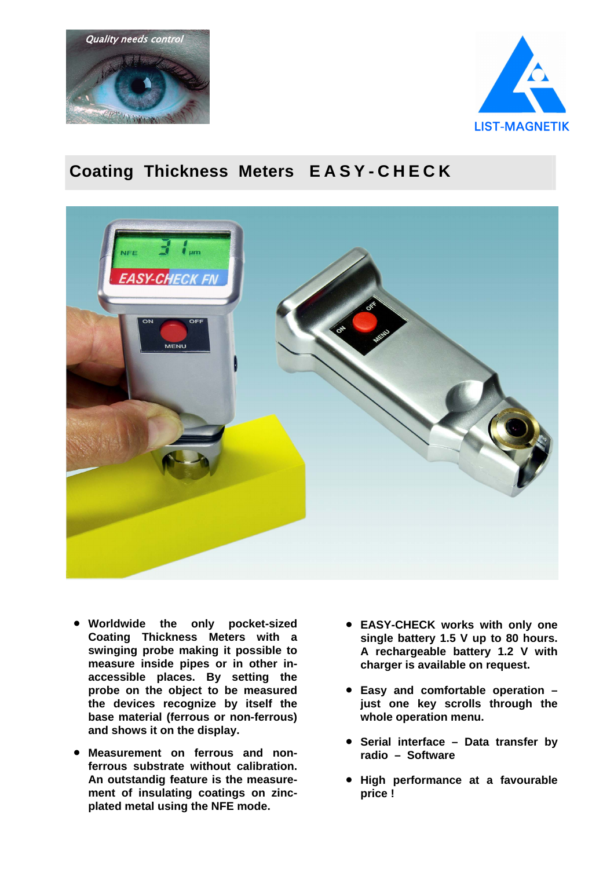



## **Coating Thickness Meters E A S Y - C H E C K**



- **Worldwide the only pocket-sized Coating Thickness Meters with a swinging probe making it possible to measure inside pipes or in other inaccessible places. By setting the probe on the object to be measured the devices recognize by itself the base material (ferrous or non-ferrous) and shows it on the display.**
- **Measurement on ferrous and nonferrous substrate without calibration. An outstandig feature is the measurement of insulating coatings on zincplated metal using the NFE mode.**
- **EASY-CHECK works with only one single battery 1.5 V up to 80 hours. A rechargeable battery 1.2 V with charger is available on request.**
- **Easy and comfortable operation – just one key scrolls through the whole operation menu.**
- **Serial interface Data transfer by radio – Software**
- **High performance at a favourable price !**